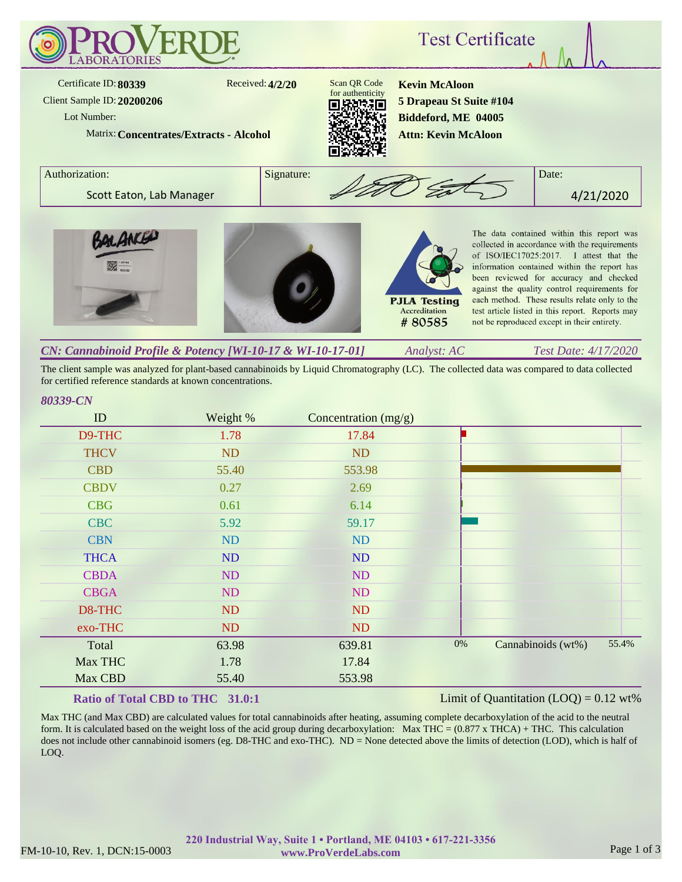

*Analyst: AC Test Date: 4/17/2020 CN: Cannabinoid Profile & Potency [WI-10-17 & WI-10-17-01]*

The client sample was analyzed for plant-based cannabinoids by Liquid Chromatography (LC). The collected data was compared to data collected for certified reference standards at known concentrations.

## *80339-CN*

| ID          | Weight %  | Concentration $(mg/g)$ |       |                    |       |
|-------------|-----------|------------------------|-------|--------------------|-------|
| D9-THC      | 1.78      | 17.84                  |       |                    |       |
| <b>THCV</b> | <b>ND</b> | <b>ND</b>              |       |                    |       |
| <b>CBD</b>  | 55.40     | 553.98                 |       |                    |       |
| <b>CBDV</b> | 0.27      | 2.69                   |       |                    |       |
| <b>CBG</b>  | 0.61      | 6.14                   |       |                    |       |
| <b>CBC</b>  | 5.92      | 59.17                  |       |                    |       |
| <b>CBN</b>  | ND        | <b>ND</b>              |       |                    |       |
| <b>THCA</b> | ND        | <b>ND</b>              |       |                    |       |
| <b>CBDA</b> | ND        | ND                     |       |                    |       |
| <b>CBGA</b> | ND        | ND                     |       |                    |       |
| D8-THC      | ND        | <b>ND</b>              |       |                    |       |
| exo-THC     | ND        | ND                     |       |                    |       |
| Total       | 63.98     | 639.81                 | $0\%$ | Cannabinoids (wt%) | 55.4% |
| Max THC     | 1.78      | 17.84                  |       |                    |       |
| Max CBD     | 55.40     | 553.98                 |       |                    |       |
|             |           |                        |       |                    |       |

## **Ratio of Total CBD to THC 31.0:1**

Limit of Quantitation  $(LOO) = 0.12$  wt%

Max THC (and Max CBD) are calculated values for total cannabinoids after heating, assuming complete decarboxylation of the acid to the neutral form. It is calculated based on the weight loss of the acid group during decarboxylation: Max THC =  $(0.877 \times THCA) + THC$ . This calculation does not include other cannabinoid isomers (eg. D8-THC and exo-THC). ND = None detected above the limits of detection (LOD), which is half of LOQ.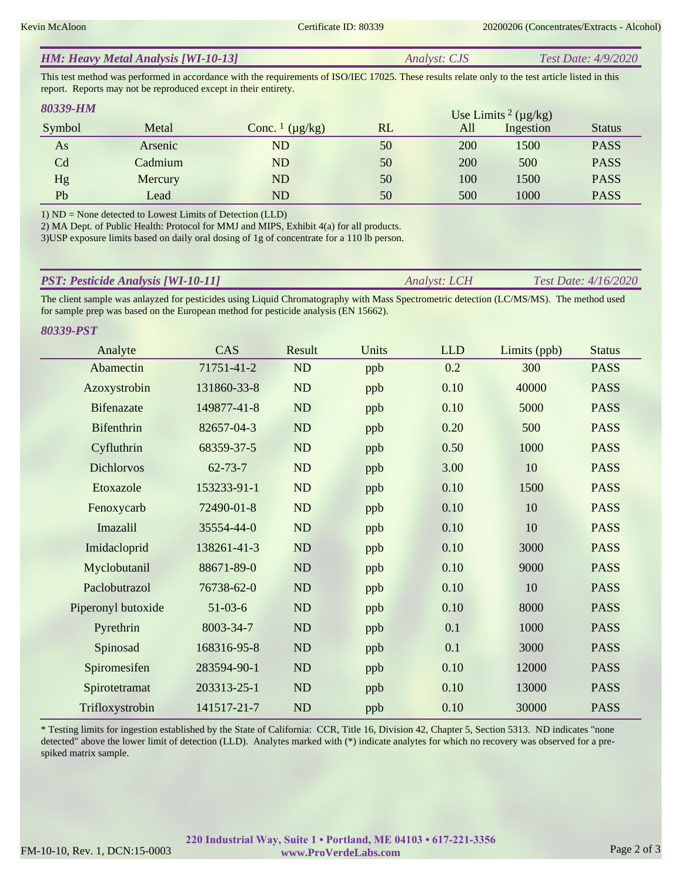| <b>HM: Heavy Metal Analysis [WI-10-13]</b> | <i>Analyst: CJS</i> | <i>Test Date: 4/9/2020</i> |
|--------------------------------------------|---------------------|----------------------------|
|--------------------------------------------|---------------------|----------------------------|

This test method was performed in accordance with the requirements of ISO/IEC 17025. These results relate only to the test article listed in this report. Reports may not be reproduced except in their entirety.

| 80339-HM       |         |                                     |    |     | Use Limits <sup>2</sup> ( $\mu$ g/kg) |               |
|----------------|---------|-------------------------------------|----|-----|---------------------------------------|---------------|
| Symbol         | Metal   | Conc. $\frac{1}{\mu}$ ( $\mu$ g/kg) | RL | All | Ingestion                             | <b>Status</b> |
| As             | Arsenic | <b>ND</b>                           | 50 | 200 | 1500                                  | <b>PASS</b>   |
| C <sub>d</sub> | Cadmium | <b>ND</b>                           | 50 | 200 | 500                                   | <b>PASS</b>   |
| Hg             | Mercury | N <sub>D</sub>                      | 50 | 100 | 1500                                  | <b>PASS</b>   |
| Pb             | Lead    | ${\rm ND}$                          | 50 | 500 | 1000                                  | <b>PASS</b>   |

1) ND = None detected to Lowest Limits of Detection (LLD)

2) MA Dept. of Public Health: Protocol for MMJ and MIPS, Exhibit 4(a) for all products.

3)USP exposure limits based on daily oral dosing of 1g of concentrate for a 110 lb person.

| <b>PST: Pesticide Analysis [WI-10-11]</b> | <i><b>Analyst: LCH</b></i> | <b>Test Date:</b> $4/16/2020$ |
|-------------------------------------------|----------------------------|-------------------------------|
|                                           |                            |                               |

The client sample was anlayzed for pesticides using Liquid Chromatography with Mass Spectrometric detection (LC/MS/MS). The method used for sample prep was based on the European method for pesticide analysis (EN 15662).

*80339-PST*

| Analyte            | CAS           | Result   | Units | <b>LLD</b> | Limits (ppb) | <b>Status</b> |
|--------------------|---------------|----------|-------|------------|--------------|---------------|
| Abamectin          | 71751-41-2    | ND       | ppb   | 0.2        | 300          | <b>PASS</b>   |
| Azoxystrobin       | 131860-33-8   | ND       | ppb   | 0.10       | 40000        | <b>PASS</b>   |
| <b>Bifenazate</b>  | 149877-41-8   | ND       | ppb   | 0.10       | 5000         | <b>PASS</b>   |
| <b>Bifenthrin</b>  | 82657-04-3    | ND       | ppb   | 0.20       | 500          | <b>PASS</b>   |
| Cyfluthrin         | 68359-37-5    | ND       | ppb   | 0.50       | 1000         | <b>PASS</b>   |
| <b>Dichlorvos</b>  | $62 - 73 - 7$ | ND       | ppb   | 3.00       | 10           | <b>PASS</b>   |
| Etoxazole          | 153233-91-1   | ND       | ppb   | 0.10       | 1500         | <b>PASS</b>   |
| Fenoxycarb         | 72490-01-8    | ND       | ppb   | 0.10       | 10           | <b>PASS</b>   |
| Imazalil           | 35554-44-0    | ND       | ppb   | 0.10       | 10           | <b>PASS</b>   |
| Imidacloprid       | 138261-41-3   | ND       | ppb   | 0.10       | 3000         | <b>PASS</b>   |
| Myclobutanil       | 88671-89-0    | ND       | ppb   | 0.10       | 9000         | <b>PASS</b>   |
| Paclobutrazol      | 76738-62-0    | ND       | ppb   | 0.10       | 10           | <b>PASS</b>   |
| Piperonyl butoxide | $51-03-6$     | ND       | ppb   | 0.10       | 8000         | <b>PASS</b>   |
| Pyrethrin          | 8003-34-7     | ND       | ppb   | 0.1        | 1000         | <b>PASS</b>   |
| Spinosad           | 168316-95-8   | $\rm ND$ | ppb   | 0.1        | 3000         | <b>PASS</b>   |
| Spiromesifen       | 283594-90-1   | ND       | ppb   | 0.10       | 12000        | <b>PASS</b>   |
| Spirotetramat      | 203313-25-1   | ND       | ppb   | 0.10       | 13000        | <b>PASS</b>   |
| Trifloxystrobin    | 141517-21-7   | ND       | ppb   | 0.10       | 30000        | <b>PASS</b>   |

\* Testing limits for ingestion established by the State of California: CCR, Title 16, Division 42, Chapter 5, Section 5313. ND indicates "none detected" above the lower limit of detection (LLD). Analytes marked with (\*) indicate analytes for which no recovery was observed for a prespiked matrix sample.